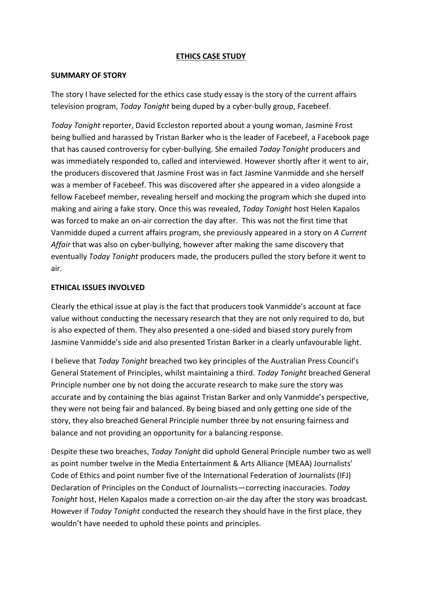## **ETHICS CASE STUDY**

### **SUMMARY OF STORY**

The story I have selected for the ethics case study essay is the story of the current affairs television program, *Today Tonight* being duped by a cyber-bully group, Facebeef.

*Today Tonight* reporter, David Eccleston reported about a young woman, Jasmine Frost being bullied and harassed by Tristan Barker who is the leader of Facebeef, a Facebook page that has caused controversy for cyber-bullying. She emailed *Today Tonight* producers and was immediately responded to, called and interviewed. However shortly after it went to air, the producers discovered that Jasmine Frost was in fact Jasmine Vanmidde and she herself was a member of Facebeef. This was discovered after she appeared in a video alongside a fellow Facebeef member, revealing herself and mocking the program which she duped into making and airing a fake story. Once this was revealed, *Today Tonight* host Helen Kapalos was forced to make an on-air correction the day after. This was not the first time that Vanmidde duped a current affairs program, she previously appeared in a story on *A Current Affair* that was also on cyber-bullying, however after making the same discovery that eventually *Today Tonight* producers made, the producers pulled the story before it went to air.

## **ETHICAL ISSUES INVOLVED**

Clearly the ethical issue at play is the fact that producers took Vanmidde's account at face value without conducting the necessary research that they are not only required to do, but is also expected of them. They also presented a one-sided and biased story purely from Jasmine Vanmidde's side and also presented Tristan Barker in a clearly unfavourable light.

I believe that *Today Tonight* breached two key principles of the Australian Press Council's General Statement of Principles, whilst maintaining a third. *Today Tonight* breached General Principle number one by not doing the accurate research to make sure the story was accurate and by containing the bias against Tristan Barker and only Vanmidde's perspective, they were not being fair and balanced. By being biased and only getting one side of the story, they also breached General Principle number three by not ensuring fairness and balance and not providing an opportunity for a balancing response.

Despite these two breaches, *Today Tonight* did uphold General Principle number two as well as point number twelve in the Media Entertainment & Arts Alliance (MEAA) Journalists' Code of Ethics and point number five of the International Federation of Journalists (IFJ) Declaration of Principles on the Conduct of Journalists—correcting inaccuracies. *Today Tonight* host, Helen Kapalos made a correction on-air the day after the story was broadcast. However if *Today Tonight* conducted the research they should have in the first place, they wouldn't have needed to uphold these points and principles.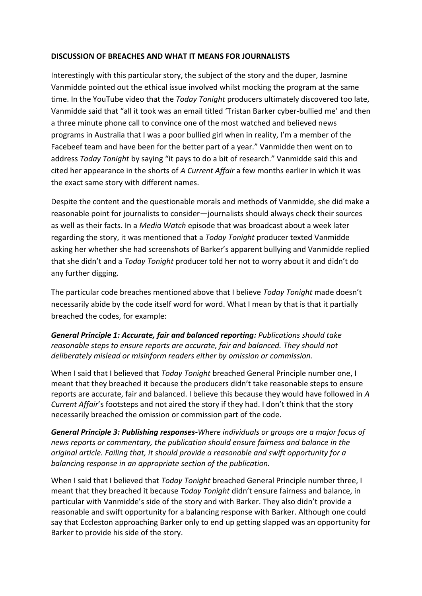## **DISCUSSION OF BREACHES AND WHAT IT MEANS FOR JOURNALISTS**

Interestingly with this particular story, the subject of the story and the duper, Jasmine Vanmidde pointed out the ethical issue involved whilst mocking the program at the same time. In the YouTube video that the *Today Tonight* producers ultimately discovered too late, Vanmidde said that "all it took was an email titled 'Tristan Barker cyber-bullied me' and then a three minute phone call to convince one of the most watched and believed news programs in Australia that I was a poor bullied girl when in reality, I'm a member of the Facebeef team and have been for the better part of a year." Vanmidde then went on to address *Today Tonight* by saying "it pays to do a bit of research." Vanmidde said this and cited her appearance in the shorts of *A Current Affair* a few months earlier in which it was the exact same story with different names.

Despite the content and the questionable morals and methods of Vanmidde, she did make a reasonable point for journalists to consider—journalists should always check their sources as well as their facts. In a *Media Watch* episode that was broadcast about a week later regarding the story, it was mentioned that a *Today Tonight* producer texted Vanmidde asking her whether she had screenshots of Barker's apparent bullying and Vanmidde replied that she didn't and a *Today Tonight* producer told her not to worry about it and didn't do any further digging.

The particular code breaches mentioned above that I believe *Today Tonight* made doesn't necessarily abide by the code itself word for word. What I mean by that is that it partially breached the codes, for example:

*General Principle 1: Accurate, fair and balanced reporting: Publications should take reasonable steps to ensure reports are accurate, fair and balanced. They should not deliberately mislead or misinform readers either by omission or commission.*

When I said that I believed that *Today Tonight* breached General Principle number one, I meant that they breached it because the producers didn't take reasonable steps to ensure reports are accurate, fair and balanced. I believe this because they would have followed in *A Current Affair*'s footsteps and not aired the story if they had. I don't think that the story necessarily breached the omission or commission part of the code.

*General Principle 3: Publishing responses-Where individuals or groups are a major focus of news reports or commentary, the publication should ensure fairness and balance in the original article. Failing that, it should provide a reasonable and swift opportunity for a balancing response in an appropriate section of the publication.*

When I said that I believed that *Today Tonight* breached General Principle number three, I meant that they breached it because *Today Tonight* didn't ensure fairness and balance, in particular with Vanmidde's side of the story and with Barker. They also didn't provide a reasonable and swift opportunity for a balancing response with Barker. Although one could say that Eccleston approaching Barker only to end up getting slapped was an opportunity for Barker to provide his side of the story.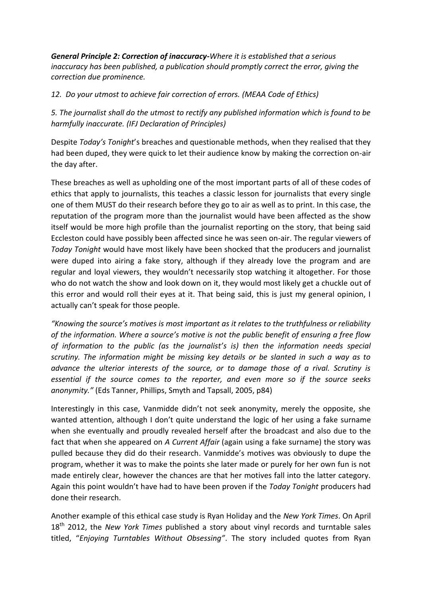*General Principle 2: Correction of inaccuracy-Where it is established that a serious inaccuracy has been published, a publication should promptly correct the error, giving the correction due prominence.*

*12. Do your utmost to achieve fair correction of errors. (MEAA Code of Ethics)*

*5. The journalist shall do the utmost to rectify any published information which is found to be harmfully inaccurate. (IFJ Declaration of Principles)*

Despite *Today's Tonight*'s breaches and questionable methods, when they realised that they had been duped, they were quick to let their audience know by making the correction on-air the day after.

These breaches as well as upholding one of the most important parts of all of these codes of ethics that apply to journalists, this teaches a classic lesson for journalists that every single one of them MUST do their research before they go to air as well as to print. In this case, the reputation of the program more than the journalist would have been affected as the show itself would be more high profile than the journalist reporting on the story, that being said Eccleston could have possibly been affected since he was seen on-air. The regular viewers of *Today Tonight* would have most likely have been shocked that the producers and journalist were duped into airing a fake story, although if they already love the program and are regular and loyal viewers, they wouldn't necessarily stop watching it altogether. For those who do not watch the show and look down on it, they would most likely get a chuckle out of this error and would roll their eyes at it. That being said, this is just my general opinion, I actually can't speak for those people.

*"Knowing the source's motives is most important as it relates to the truthfulness or reliability of the information. Where a source's motive is not the public benefit of ensuring a free flow of information to the public (as the journalist's is) then the information needs special scrutiny. The information might be missing key details or be slanted in such a way as to advance the ulterior interests of the source, or to damage those of a rival. Scrutiny is essential if the source comes to the reporter, and even more so if the source seeks anonymity."* (Eds Tanner, Phillips, Smyth and Tapsall, 2005, p84)

Interestingly in this case, Vanmidde didn't not seek anonymity, merely the opposite, she wanted attention, although I don't quite understand the logic of her using a fake surname when she eventually and proudly revealed herself after the broadcast and also due to the fact that when she appeared on *A Current Affair* (again using a fake surname) the story was pulled because they did do their research. Vanmidde's motives was obviously to dupe the program, whether it was to make the points she later made or purely for her own fun is not made entirely clear, however the chances are that her motives fall into the latter category. Again this point wouldn't have had to have been proven if the *Today Tonight* producers had done their research.

Another example of this ethical case study is Ryan Holiday and the *New York Times*. On April 18th 2012, the *New York Times* published a story about vinyl records and turntable sales titled, "*Enjoying Turntables Without Obsessing"*. The story included quotes from Ryan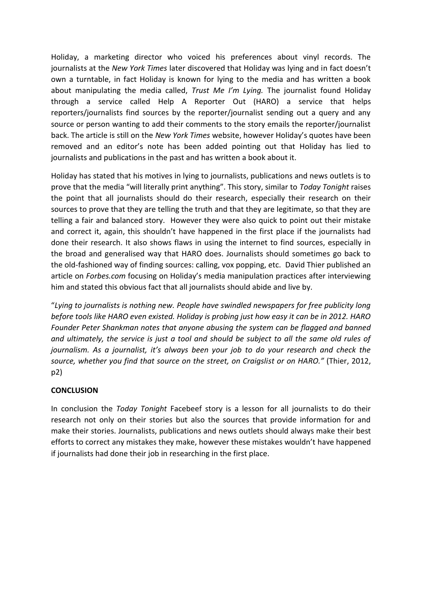Holiday, a marketing director who voiced his preferences about vinyl records. The journalists at the *New York Times* later discovered that Holiday was lying and in fact doesn't own a turntable, in fact Holiday is known for lying to the media and has written a book about manipulating the media called, *Trust Me I'm Lying.* The journalist found Holiday through a service called Help A Reporter Out (HARO) a service that helps reporters/journalists find sources by the reporter/journalist sending out a query and any source or person wanting to add their comments to the story emails the reporter/journalist back. The article is still on the *New York Times* website, however Holiday's quotes have been removed and an editor's note has been added pointing out that Holiday has lied to journalists and publications in the past and has written a book about it.

Holiday has stated that his motives in lying to journalists, publications and news outlets is to prove that the media "will literally print anything". This story, similar to *Today Tonight* raises the point that all journalists should do their research, especially their research on their sources to prove that they are telling the truth and that they are legitimate, so that they are telling a fair and balanced story. However they were also quick to point out their mistake and correct it, again, this shouldn't have happened in the first place if the journalists had done their research. It also shows flaws in using the internet to find sources, especially in the broad and generalised way that HARO does. Journalists should sometimes go back to the old-fashioned way of finding sources: calling, vox popping, etc. David Thier published an article on *Forbes.com* focusing on Holiday's media manipulation practices after interviewing him and stated this obvious fact that all journalists should abide and live by.

"*Lying to journalists is nothing new. People have swindled newspapers for free publicity long before tools like HARO even existed. Holiday is probing just how easy it can be in 2012. HARO Founder Peter Shankman notes that anyone abusing the system can be flagged and banned and ultimately, the service is just a tool and should be subject to all the same old rules of journalism. As a journalist, it's always been your job to do your research and check the source, whether you find that source on the street, on Craigslist or on HARO."* (Thier, 2012, p2)

# **CONCLUSION**

In conclusion the *Today Tonight* Facebeef story is a lesson for all journalists to do their research not only on their stories but also the sources that provide information for and make their stories. Journalists, publications and news outlets should always make their best efforts to correct any mistakes they make, however these mistakes wouldn't have happened if journalists had done their job in researching in the first place.